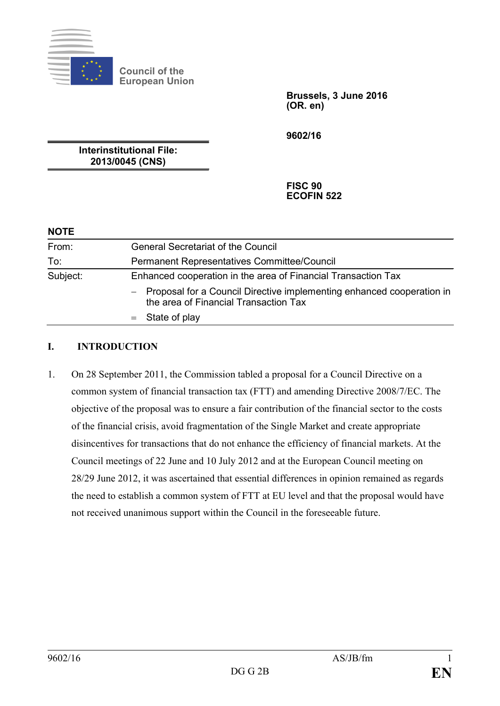

**Council of the European Union**

> **Brussels, 3 June 2016 (OR. en)**

**9602/16**

**Interinstitutional File: 2013/0045 (CNS)**

> **FISC 90 ECOFIN 522**

| <b>NOTE</b> |                                                                                                                  |
|-------------|------------------------------------------------------------------------------------------------------------------|
| From:       | <b>General Secretariat of the Council</b>                                                                        |
| To:         | Permanent Representatives Committee/Council                                                                      |
| Subject:    | Enhanced cooperation in the area of Financial Transaction Tax                                                    |
|             | - Proposal for a Council Directive implementing enhanced cooperation in<br>the area of Financial Transaction Tax |
|             | $=$ State of play                                                                                                |

#### **I. INTRODUCTION**

1. On 28 September 2011, the Commission tabled a proposal for a Council Directive on a common system of financial transaction tax (FTT) and amending Directive 2008/7/EC. The objective of the proposal was to ensure a fair contribution of the financial sector to the costs of the financial crisis, avoid fragmentation of the Single Market and create appropriate disincentives for transactions that do not enhance the efficiency of financial markets. At the Council meetings of 22 June and 10 July 2012 and at the European Council meeting on 28/29 June 2012, it was ascertained that essential differences in opinion remained as regards the need to establish a common system of FTT at EU level and that the proposal would have not received unanimous support within the Council in the foreseeable future.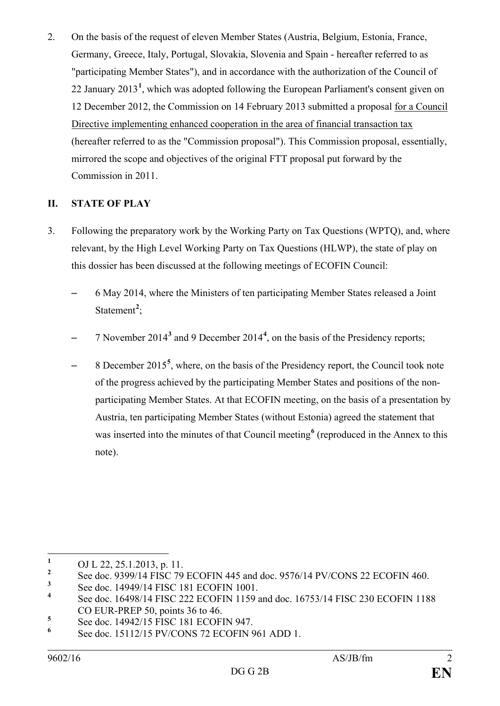2. On the basis of the request of eleven Member States (Austria, Belgium, Estonia, France, Germany, Greece, Italy, Portugal, Slovakia, Slovenia and Spain - hereafter referred to as "participating Member States"), and in accordance with the authorization of the Council of 22 January 2013**[1](#page-1-0)** , which was adopted following the European Parliament's consent given on 12 December 2012, the Commission on 14 February 2013 submitted a proposal for a Council Directive implementing enhanced cooperation in the area of financial transaction tax (hereafter referred to as the "Commission proposal"). This Commission proposal, essentially, mirrored the scope and objectives of the original FTT proposal put forward by the Commission in 2011.

## **II. STATE OF PLAY**

- 3. Following the preparatory work by the Working Party on Tax Questions (WPTQ), and, where relevant, by the High Level Working Party on Tax Questions (HLWP), the state of play on this dossier has been discussed at the following meetings of ECOFIN Council:
	- 6 May 2014, where the Ministers of ten participating Member States released a Joint Statement<sup>[2](#page-1-1)</sup>;
	- 7 November 2014**[3](#page-1-2)** and 9 December 2014**[4](#page-1-3)** , on the basis of the Presidency reports;
	- 8 December 2015**[5](#page-1-4)** , where, on the basis of the Presidency report, the Council took note of the progress achieved by the participating Member States and positions of the nonparticipating Member States. At that ECOFIN meeting, on the basis of a presentation by Austria, ten participating Member States (without Estonia) agreed the statement that was inserted into the minutes of that Council meeting<sup>[6](#page-1-5)</sup> (reproduced in the Annex to this note).

<span id="page-1-0"></span><sup>&</sup>lt;sup>1</sup> OJ L 22, 25.1.2013, p. 11.<br><sup>2</sup> See dee, 0200/14 EISC 70.

<span id="page-1-1"></span><sup>&</sup>lt;sup>2</sup> See doc. 9399/14 FISC 79 ECOFIN 445 and doc. 9576/14 PV/CONS 22 ECOFIN 460.

<span id="page-1-2"></span><sup>&</sup>lt;sup>3</sup> See doc. 14949/14 FISC 181 ECOFIN 1001.

<span id="page-1-3"></span>**<sup>4</sup>** See doc. 16498/14 FISC 222 ECOFIN 1159 and doc. 16753/14 FISC 230 ECOFIN 1188 CO EUR-PREP 50, points 36 to 46.

<span id="page-1-5"></span><span id="page-1-4"></span><sup>&</sup>lt;sup>5</sup> See doc. 14942/15 FISC 181 ECOFIN 947.<br>
<sup>6</sup> See doc. 15112/15 PV/CONS 72 ECOFIN 961 ADD 1.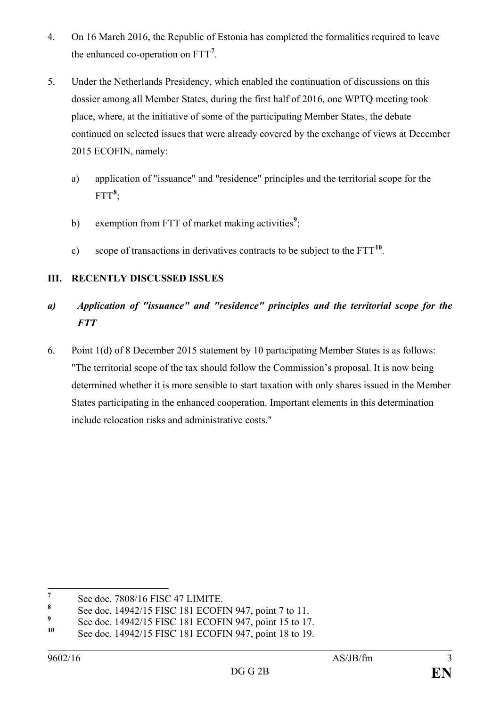- 4. On 16 March 2016, the Republic of Estonia has completed the formalities required to leave the enhanced co-operation on FTT**[7](#page-2-0)** .
- 5. Under the Netherlands Presidency, which enabled the continuation of discussions on this dossier among all Member States, during the first half of 2016, one WPTQ meeting took place, where, at the initiative of some of the participating Member States, the debate continued on selected issues that were already covered by the exchange of views at December 2015 ECOFIN, namely:
	- a) application of "issuance" and "residence" principles and the territorial scope for the  $\text{FTT}^{\boldsymbol{8}}$  $\text{FTT}^{\boldsymbol{8}}$  $\text{FTT}^{\boldsymbol{8}}$ ;
	- b) exemption from FTT of market making activities<sup>[9](#page-2-2)</sup>;
	- c) scope of transactions in derivatives contracts to be subject to the FTT**[10](#page-2-3)**.

## **III. RECENTLY DISCUSSED ISSUES**

# *a) Application of "issuance" and "residence" principles and the territorial scope for the FTT*

6. Point 1(d) of 8 December 2015 statement by 10 participating Member States is as follows: "The territorial scope of the tax should follow the Commission's proposal. It is now being determined whether it is more sensible to start taxation with only shares issued in the Member States participating in the enhanced cooperation. Important elements in this determination include relocation risks and administrative costs."

<span id="page-2-0"></span><sup>&</sup>lt;sup>7</sup> See doc. 7808/16 FISC 47 LIMITE.<br>8 See doc. 14042/15 FISC 181 ECOEL

<span id="page-2-1"></span>**<sup>8</sup>** See doc. 14942/15 FISC 181 ECOFIN 947, point 7 to 11.

<span id="page-2-2"></span>**<sup>9</sup>** See doc. 14942/15 FISC 181 ECOFIN 947, point 15 to 17.

<span id="page-2-3"></span>**<sup>10</sup>** See doc. 14942/15 FISC 181 ECOFIN 947, point 18 to 19.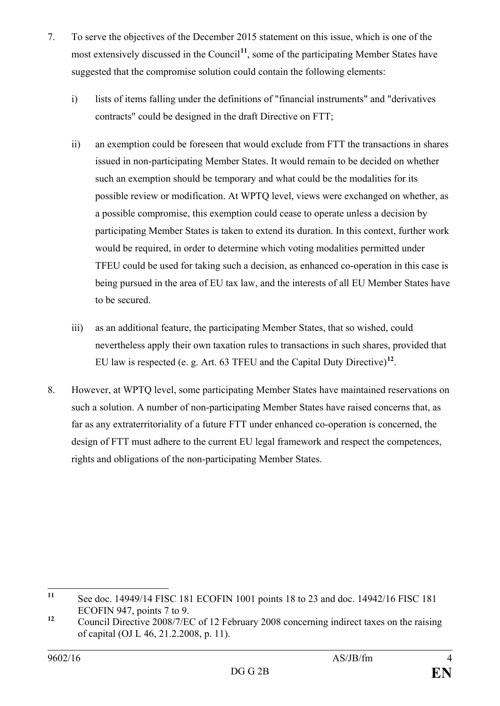- 7. To serve the objectives of the December 2015 statement on this issue, which is one of the most extensively discussed in the Council<sup>[11](#page-3-0)</sup>, some of the participating Member States have suggested that the compromise solution could contain the following elements:
	- i) lists of items falling under the definitions of "financial instruments" and "derivatives" contracts" could be designed in the draft Directive on FTT;
	- ii) an exemption could be foreseen that would exclude from FTT the transactions in shares issued in non-participating Member States. It would remain to be decided on whether such an exemption should be temporary and what could be the modalities for its possible review or modification. At WPTQ level, views were exchanged on whether, as a possible compromise, this exemption could cease to operate unless a decision by participating Member States is taken to extend its duration. In this context, further work would be required, in order to determine which voting modalities permitted under TFEU could be used for taking such a decision, as enhanced co-operation in this case is being pursued in the area of EU tax law, and the interests of all EU Member States have to be secured.
	- iii) as an additional feature, the participating Member States, that so wished, could nevertheless apply their own taxation rules to transactions in such shares, provided that EU law is respected (e. g. Art. 63 TFEU and the Capital Duty Directive) **[12](#page-3-1)**.
- 8. However, at WPTQ level, some participating Member States have maintained reservations on such a solution. A number of non-participating Member States have raised concerns that, as far as any extraterritoriality of a future FTT under enhanced co-operation is concerned, the design of FTT must adhere to the current EU legal framework and respect the competences, rights and obligations of the non-participating Member States.

<span id="page-3-0"></span>**<sup>11</sup>** See doc. 14949/14 FISC 181 ECOFIN 1001 points 18 to 23 and doc. 14942/16 FISC 181 ECOFIN 947, points 7 to 9.

<span id="page-3-1"></span><sup>&</sup>lt;sup>12</sup> Council Directive 2008/7/EC of 12 February 2008 concerning indirect taxes on the raising of capital (OJ L 46, 21.2.2008, p. 11).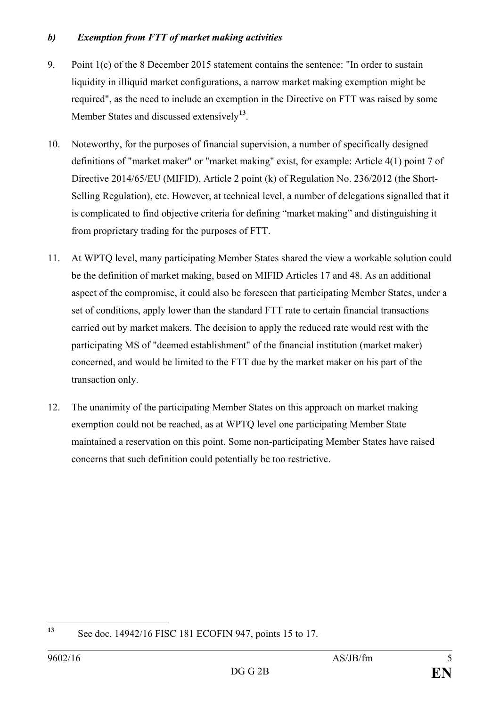#### *b) Exemption from FTT of market making activities*

- 9. Point 1(c) of the 8 December 2015 statement contains the sentence: "In order to sustain liquidity in illiquid market configurations, a narrow market making exemption might be required", as the need to include an exemption in the Directive on FTT was raised by some Member States and discussed extensively**[13](#page-4-0)**.
- 10. Noteworthy, for the purposes of financial supervision, a number of specifically designed definitions of "market maker" or "market making" exist, for example: Article 4(1) point 7 of Directive 2014/65/EU (MIFID), Article 2 point (k) of Regulation No. 236/2012 (the Short-Selling Regulation), etc. However, at technical level, a number of delegations signalled that it is complicated to find objective criteria for defining "market making" and distinguishing it from proprietary trading for the purposes of FTT.
- 11. At WPTQ level, many participating Member States shared the view a workable solution could be the definition of market making, based on MIFID Articles 17 and 48. As an additional aspect of the compromise, it could also be foreseen that participating Member States, under a set of conditions, apply lower than the standard FTT rate to certain financial transactions carried out by market makers. The decision to apply the reduced rate would rest with the participating MS of "deemed establishment" of the financial institution (market maker) concerned, and would be limited to the FTT due by the market maker on his part of the transaction only.
- 12. The unanimity of the participating Member States on this approach on market making exemption could not be reached, as at WPTQ level one participating Member State maintained a reservation on this point. Some non-participating Member States have raised concerns that such definition could potentially be too restrictive.

<span id="page-4-0"></span>**<sup>13</sup>** See doc. 14942/16 FISC 181 ECOFIN 947, points 15 to 17.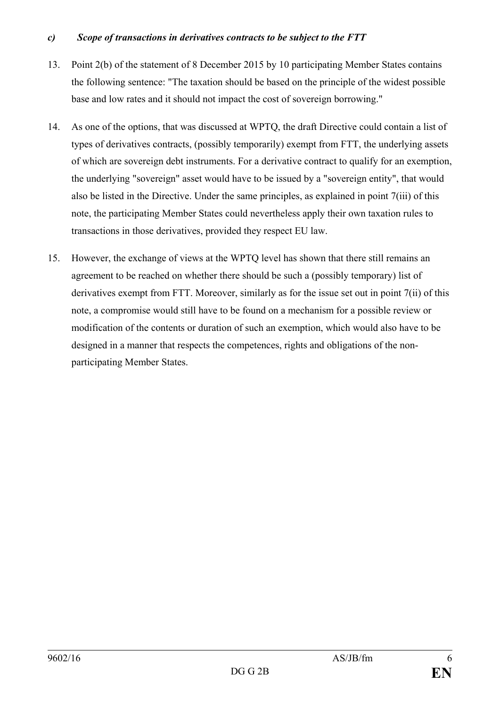#### *c) Scope of transactions in derivatives contracts to be subject to the FTT*

- 13. Point 2(b) of the statement of 8 December 2015 by 10 participating Member States contains the following sentence: "The taxation should be based on the principle of the widest possible base and low rates and it should not impact the cost of sovereign borrowing."
- 14. As one of the options, that was discussed at WPTQ, the draft Directive could contain a list of types of derivatives contracts, (possibly temporarily) exempt from FTT, the underlying assets of which are sovereign debt instruments. For a derivative contract to qualify for an exemption, the underlying "sovereign" asset would have to be issued by a "sovereign entity", that would also be listed in the Directive. Under the same principles, as explained in point 7(iii) of this note, the participating Member States could nevertheless apply their own taxation rules to transactions in those derivatives, provided they respect EU law.
- 15. However, the exchange of views at the WPTQ level has shown that there still remains an agreement to be reached on whether there should be such a (possibly temporary) list of derivatives exempt from FTT. Moreover, similarly as for the issue set out in point 7(ii) of this note, a compromise would still have to be found on a mechanism for a possible review or modification of the contents or duration of such an exemption, which would also have to be designed in a manner that respects the competences, rights and obligations of the nonparticipating Member States.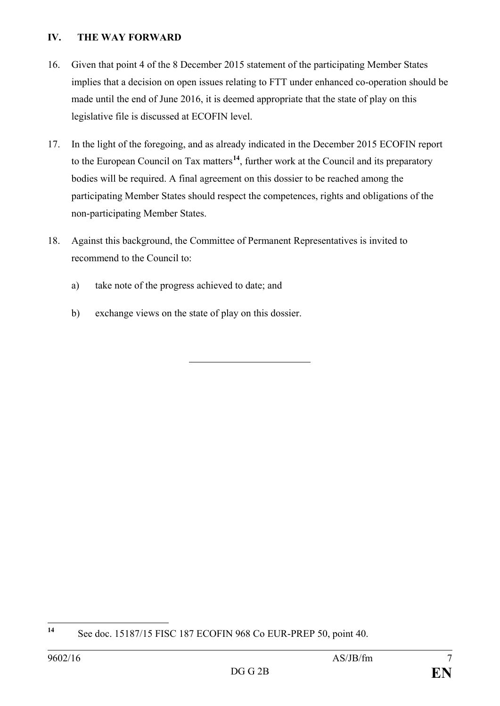#### **IV. THE WAY FORWARD**

- 16. Given that point 4 of the 8 December 2015 statement of the participating Member States implies that a decision on open issues relating to FTT under enhanced co-operation should be made until the end of June 2016, it is deemed appropriate that the state of play on this legislative file is discussed at ECOFIN level.
- 17. In the light of the foregoing, and as already indicated in the December 2015 ECOFIN report to the European Council on Tax matters**[14](#page-6-0)**, further work at the Council and its preparatory bodies will be required. A final agreement on this dossier to be reached among the participating Member States should respect the competences, rights and obligations of the non-participating Member States.
- 18. Against this background, the Committee of Permanent Representatives is invited to recommend to the Council to:
	- a) take note of the progress achieved to date; and
	- b) exchange views on the state of play on this dossier.

<span id="page-6-0"></span>**<sup>14</sup>** See doc. 15187/15 FISC 187 ECOFIN 968 Co EUR-PREP 50, point 40.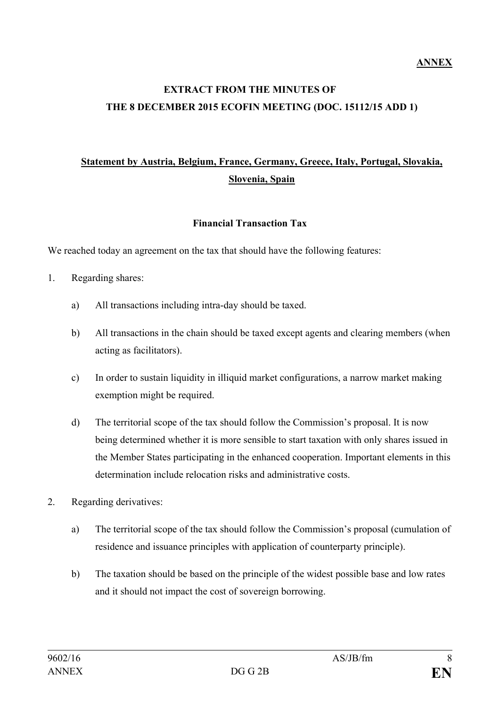# **EXTRACT FROM THE MINUTES OF THE 8 DECEMBER 2015 ECOFIN MEETING (DOC. 15112/15 ADD 1)**

# **Statement by Austria, Belgium, France, Germany, Greece, Italy, Portugal, Slovakia, Slovenia, Spain**

#### **Financial Transaction Tax**

We reached today an agreement on the tax that should have the following features:

- 1. Regarding shares:
	- a) All transactions including intra-day should be taxed.
	- b) All transactions in the chain should be taxed except agents and clearing members (when acting as facilitators).
	- c) In order to sustain liquidity in illiquid market configurations, a narrow market making exemption might be required.
	- d) The territorial scope of the tax should follow the Commission's proposal. It is now being determined whether it is more sensible to start taxation with only shares issued in the Member States participating in the enhanced cooperation. Important elements in this determination include relocation risks and administrative costs.
- 2. Regarding derivatives:
	- a) The territorial scope of the tax should follow the Commission's proposal (cumulation of residence and issuance principles with application of counterparty principle).
	- b) The taxation should be based on the principle of the widest possible base and low rates and it should not impact the cost of sovereign borrowing.